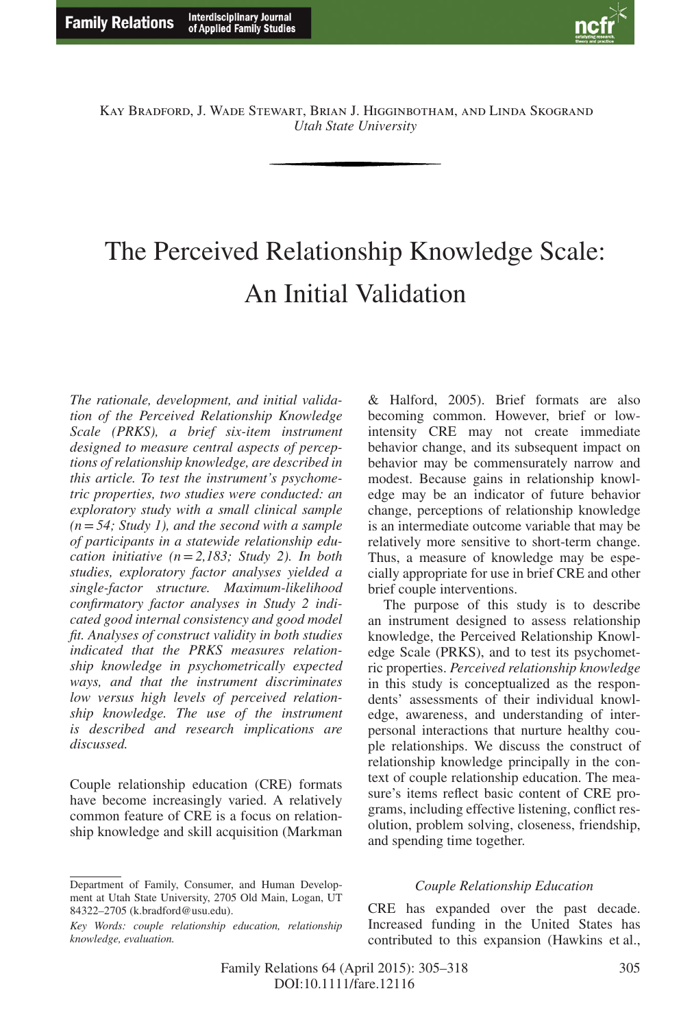

Kay Bradford, J. Wade Stewart, Brian J. Higginbotham, and Linda Skogrand *Utah State University*

# The Perceived Relationship Knowledge Scale: An Initial Validation

*The rationale, development, and initial validation of the Perceived Relationship Knowledge Scale (PRKS), a brief six-item instrument designed to measure central aspects of perceptions of relationship knowledge, are described in this article. To test the instrument's psychometric properties, two studies were conducted: an exploratory study with a small clinical sample (n*=*54; Study 1), and the second with a sample of participants in a statewide relationship education initiative (n*=*2,183; Study 2). In both studies, exploratory factor analyses yielded a single-factor structure. Maximum-likelihood confirmatory factor analyses in Study 2 indicated good internal consistency and good model fit. Analyses of construct validity in both studies indicated that the PRKS measures relationship knowledge in psychometrically expected ways, and that the instrument discriminates low versus high levels of perceived relationship knowledge. The use of the instrument is described and research implications are discussed.*

Couple relationship education (CRE) formats have become increasingly varied. A relatively common feature of CRE is a focus on relationship knowledge and skill acquisition (Markman

Department of Family, Consumer, and Human Development at Utah State University, 2705 Old Main, Logan, UT 84322–2705 (k.bradford@usu.edu).

& Halford, 2005). Brief formats are also becoming common. However, brief or lowintensity CRE may not create immediate behavior change, and its subsequent impact on behavior may be commensurately narrow and modest. Because gains in relationship knowledge may be an indicator of future behavior change, perceptions of relationship knowledge is an intermediate outcome variable that may be relatively more sensitive to short-term change. Thus, a measure of knowledge may be especially appropriate for use in brief CRE and other brief couple interventions.

The purpose of this study is to describe an instrument designed to assess relationship knowledge, the Perceived Relationship Knowledge Scale (PRKS), and to test its psychometric properties. *Perceived relationship knowledge* in this study is conceptualized as the respondents' assessments of their individual knowledge, awareness, and understanding of interpersonal interactions that nurture healthy couple relationships. We discuss the construct of relationship knowledge principally in the context of couple relationship education. The measure's items reflect basic content of CRE programs, including effective listening, conflict resolution, problem solving, closeness, friendship, and spending time together.

# *Couple Relationship Education*

CRE has expanded over the past decade. Increased funding in the United States has contributed to this expansion (Hawkins et al.,

*Key Words: couple relationship education, relationship knowledge, evaluation.*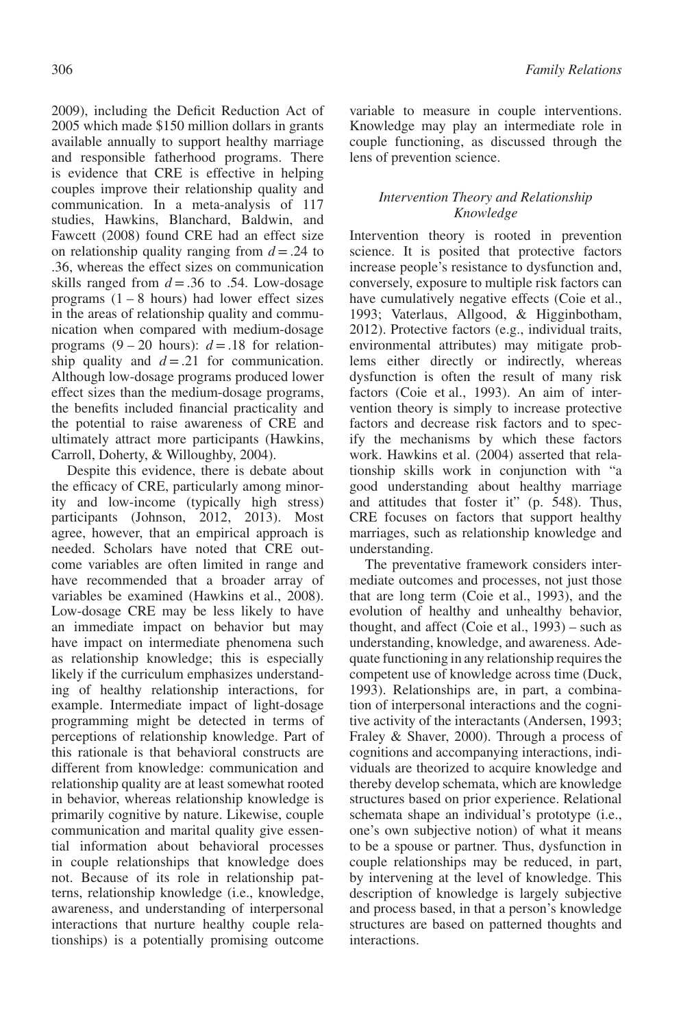2009), including the Deficit Reduction Act of 2005 which made \$150 million dollars in grants available annually to support healthy marriage and responsible fatherhood programs. There is evidence that CRE is effective in helping couples improve their relationship quality and communication. In a meta-analysis of 117 studies, Hawkins, Blanchard, Baldwin, and Fawcett (2008) found CRE had an effect size on relationship quality ranging from  $d = .24$  to .36, whereas the effect sizes on communication skills ranged from  $d = .36$  to .54. Low-dosage programs  $(1 - 8$  hours) had lower effect sizes in the areas of relationship quality and communication when compared with medium-dosage programs  $(9 - 20$  hours):  $d = .18$  for relationship quality and  $d = .21$  for communication. Although low-dosage programs produced lower effect sizes than the medium-dosage programs, the benefits included financial practicality and the potential to raise awareness of CRE and ultimately attract more participants (Hawkins, Carroll, Doherty, & Willoughby, 2004).

Despite this evidence, there is debate about the efficacy of CRE, particularly among minority and low-income (typically high stress) participants (Johnson, 2012, 2013). Most agree, however, that an empirical approach is needed. Scholars have noted that CRE outcome variables are often limited in range and have recommended that a broader array of variables be examined (Hawkins et al., 2008). Low-dosage CRE may be less likely to have an immediate impact on behavior but may have impact on intermediate phenomena such as relationship knowledge; this is especially likely if the curriculum emphasizes understanding of healthy relationship interactions, for example. Intermediate impact of light-dosage programming might be detected in terms of perceptions of relationship knowledge. Part of this rationale is that behavioral constructs are different from knowledge: communication and relationship quality are at least somewhat rooted in behavior, whereas relationship knowledge is primarily cognitive by nature. Likewise, couple communication and marital quality give essential information about behavioral processes in couple relationships that knowledge does not. Because of its role in relationship patterns, relationship knowledge (i.e., knowledge, awareness, and understanding of interpersonal interactions that nurture healthy couple relationships) is a potentially promising outcome

variable to measure in couple interventions. Knowledge may play an intermediate role in couple functioning, as discussed through the lens of prevention science.

# *Intervention Theory and Relationship Knowledge*

Intervention theory is rooted in prevention science. It is posited that protective factors increase people's resistance to dysfunction and, conversely, exposure to multiple risk factors can have cumulatively negative effects (Coie et al., 1993; Vaterlaus, Allgood, & Higginbotham, 2012). Protective factors (e.g., individual traits, environmental attributes) may mitigate problems either directly or indirectly, whereas dysfunction is often the result of many risk factors (Coie et al., 1993). An aim of intervention theory is simply to increase protective factors and decrease risk factors and to specify the mechanisms by which these factors work. Hawkins et al. (2004) asserted that relationship skills work in conjunction with "a good understanding about healthy marriage and attitudes that foster it" (p. 548). Thus, CRE focuses on factors that support healthy marriages, such as relationship knowledge and understanding.

The preventative framework considers intermediate outcomes and processes, not just those that are long term (Coie et al., 1993), and the evolution of healthy and unhealthy behavior, thought, and affect (Coie et al., 1993) – such as understanding, knowledge, and awareness. Adequate functioning in any relationship requires the competent use of knowledge across time (Duck, 1993). Relationships are, in part, a combination of interpersonal interactions and the cognitive activity of the interactants (Andersen, 1993; Fraley & Shaver, 2000). Through a process of cognitions and accompanying interactions, individuals are theorized to acquire knowledge and thereby develop schemata, which are knowledge structures based on prior experience. Relational schemata shape an individual's prototype (i.e., one's own subjective notion) of what it means to be a spouse or partner. Thus, dysfunction in couple relationships may be reduced, in part, by intervening at the level of knowledge. This description of knowledge is largely subjective and process based, in that a person's knowledge structures are based on patterned thoughts and interactions.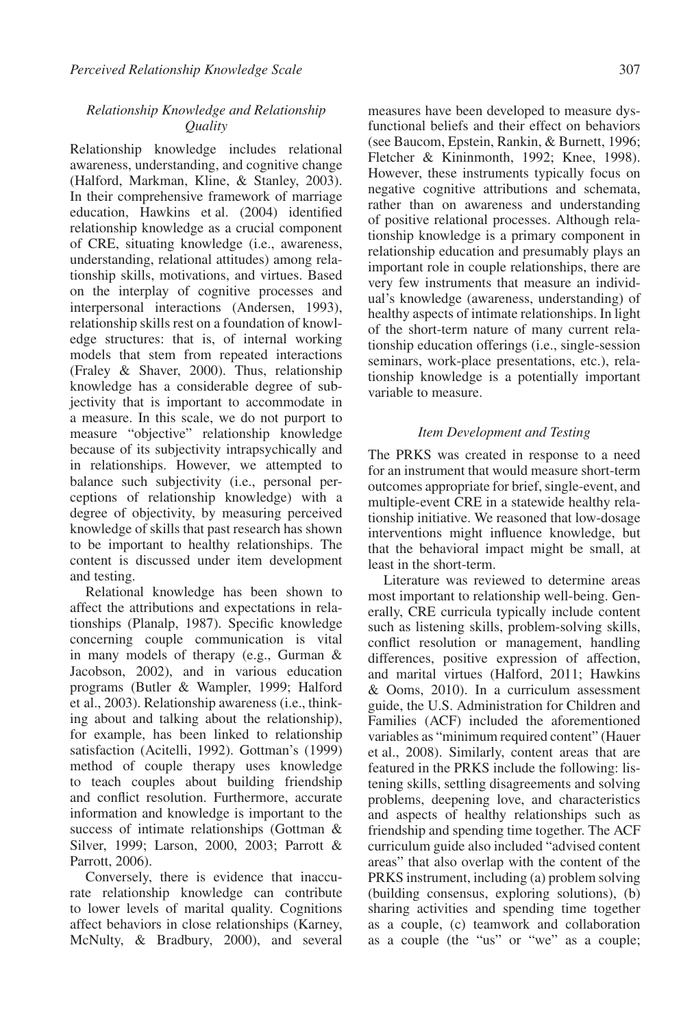# *Relationship Knowledge and Relationship Quality*

Relationship knowledge includes relational awareness, understanding, and cognitive change (Halford, Markman, Kline, & Stanley, 2003). In their comprehensive framework of marriage education, Hawkins et al. (2004) identified relationship knowledge as a crucial component of CRE, situating knowledge (i.e., awareness, understanding, relational attitudes) among relationship skills, motivations, and virtues. Based on the interplay of cognitive processes and interpersonal interactions (Andersen, 1993), relationship skills rest on a foundation of knowledge structures: that is, of internal working models that stem from repeated interactions (Fraley & Shaver, 2000). Thus, relationship knowledge has a considerable degree of subjectivity that is important to accommodate in a measure. In this scale, we do not purport to measure "objective" relationship knowledge because of its subjectivity intrapsychically and in relationships. However, we attempted to balance such subjectivity (i.e., personal perceptions of relationship knowledge) with a degree of objectivity, by measuring perceived knowledge of skills that past research has shown to be important to healthy relationships. The content is discussed under item development and testing.

Relational knowledge has been shown to affect the attributions and expectations in relationships (Planalp, 1987). Specific knowledge concerning couple communication is vital in many models of therapy (e.g., Gurman & Jacobson, 2002), and in various education programs (Butler & Wampler, 1999; Halford et al., 2003). Relationship awareness (i.e., thinking about and talking about the relationship), for example, has been linked to relationship satisfaction (Acitelli, 1992). Gottman's (1999) method of couple therapy uses knowledge to teach couples about building friendship and conflict resolution. Furthermore, accurate information and knowledge is important to the success of intimate relationships (Gottman & Silver, 1999; Larson, 2000, 2003; Parrott & Parrott, 2006).

Conversely, there is evidence that inaccurate relationship knowledge can contribute to lower levels of marital quality. Cognitions affect behaviors in close relationships (Karney, McNulty, & Bradbury, 2000), and several

measures have been developed to measure dysfunctional beliefs and their effect on behaviors (see Baucom, Epstein, Rankin, & Burnett, 1996; Fletcher & Kininmonth, 1992; Knee, 1998). However, these instruments typically focus on negative cognitive attributions and schemata, rather than on awareness and understanding of positive relational processes. Although relationship knowledge is a primary component in relationship education and presumably plays an important role in couple relationships, there are very few instruments that measure an individual's knowledge (awareness, understanding) of healthy aspects of intimate relationships. In light of the short-term nature of many current relationship education offerings (i.e., single-session seminars, work-place presentations, etc.), relationship knowledge is a potentially important variable to measure.

## *Item Development and Testing*

The PRKS was created in response to a need for an instrument that would measure short-term outcomes appropriate for brief, single-event, and multiple-event CRE in a statewide healthy relationship initiative. We reasoned that low-dosage interventions might influence knowledge, but that the behavioral impact might be small, at least in the short-term.

Literature was reviewed to determine areas most important to relationship well-being. Generally, CRE curricula typically include content such as listening skills, problem-solving skills, conflict resolution or management, handling differences, positive expression of affection, and marital virtues (Halford, 2011; Hawkins & Ooms, 2010). In a curriculum assessment guide, the U.S. Administration for Children and Families (ACF) included the aforementioned variables as "minimum required content" (Hauer et al., 2008). Similarly, content areas that are featured in the PRKS include the following: listening skills, settling disagreements and solving problems, deepening love, and characteristics and aspects of healthy relationships such as friendship and spending time together. The ACF curriculum guide also included "advised content areas" that also overlap with the content of the PRKS instrument, including (a) problem solving (building consensus, exploring solutions), (b) sharing activities and spending time together as a couple, (c) teamwork and collaboration as a couple (the "us" or "we" as a couple;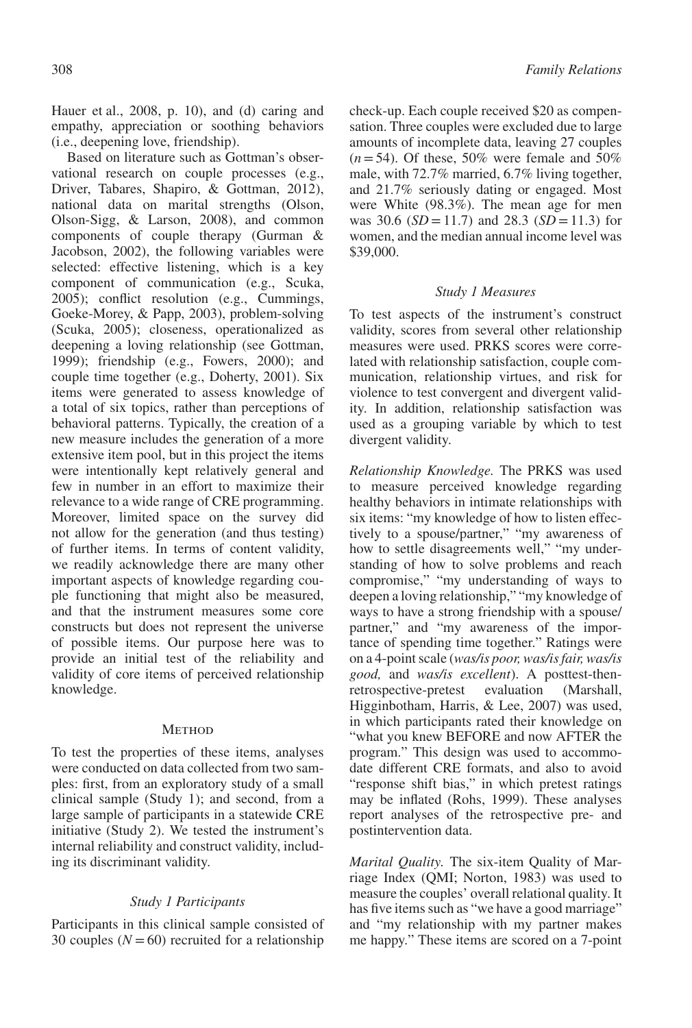Hauer et al., 2008, p. 10), and (d) caring and empathy, appreciation or soothing behaviors (i.e., deepening love, friendship).

Based on literature such as Gottman's observational research on couple processes (e.g., Driver, Tabares, Shapiro, & Gottman, 2012), national data on marital strengths (Olson, Olson-Sigg, & Larson, 2008), and common components of couple therapy (Gurman & Jacobson, 2002), the following variables were selected: effective listening, which is a key component of communication (e.g., Scuka, 2005); conflict resolution (e.g., Cummings, Goeke-Morey, & Papp, 2003), problem-solving (Scuka, 2005); closeness, operationalized as deepening a loving relationship (see Gottman, 1999); friendship (e.g., Fowers, 2000); and couple time together (e.g., Doherty, 2001). Six items were generated to assess knowledge of a total of six topics, rather than perceptions of behavioral patterns. Typically, the creation of a new measure includes the generation of a more extensive item pool, but in this project the items were intentionally kept relatively general and few in number in an effort to maximize their relevance to a wide range of CRE programming. Moreover, limited space on the survey did not allow for the generation (and thus testing) of further items. In terms of content validity, we readily acknowledge there are many other important aspects of knowledge regarding couple functioning that might also be measured, and that the instrument measures some core constructs but does not represent the universe of possible items. Our purpose here was to provide an initial test of the reliability and validity of core items of perceived relationship knowledge.

## **METHOD**

To test the properties of these items, analyses were conducted on data collected from two samples: first, from an exploratory study of a small clinical sample (Study 1); and second, from a large sample of participants in a statewide CRE initiative (Study 2). We tested the instrument's internal reliability and construct validity, including its discriminant validity.

# *Study 1 Participants*

Participants in this clinical sample consisted of 30 couples  $(N = 60)$  recruited for a relationship

check-up. Each couple received \$20 as compensation. Three couples were excluded due to large amounts of incomplete data, leaving 27 couples  $(n=54)$ . Of these, 50% were female and 50% male, with 72.7% married, 6.7% living together, and 21.7% seriously dating or engaged. Most were White (98.3%). The mean age for men was 30.6  $(SD = 11.7)$  and 28.3  $(SD = 11.3)$  for women, and the median annual income level was \$39,000.

## *Study 1 Measures*

To test aspects of the instrument's construct validity, scores from several other relationship measures were used. PRKS scores were correlated with relationship satisfaction, couple communication, relationship virtues, and risk for violence to test convergent and divergent validity. In addition, relationship satisfaction was used as a grouping variable by which to test divergent validity.

*Relationship Knowledge.* The PRKS was used to measure perceived knowledge regarding healthy behaviors in intimate relationships with six items: "my knowledge of how to listen effectively to a spouse/partner," "my awareness of how to settle disagreements well," "my understanding of how to solve problems and reach compromise," "my understanding of ways to deepen a loving relationship," "my knowledge of ways to have a strong friendship with a spouse/ partner," and "my awareness of the importance of spending time together." Ratings were on a 4-point scale (*was/is poor, was/is fair, was/is good,* and *was/is excellent*). A posttest-thenretrospective-pretest evaluation (Marshall, Higginbotham, Harris, & Lee, 2007) was used, in which participants rated their knowledge on "what you knew BEFORE and now AFTER the program." This design was used to accommodate different CRE formats, and also to avoid "response shift bias," in which pretest ratings may be inflated (Rohs, 1999). These analyses report analyses of the retrospective pre- and postintervention data.

*Marital Quality.* The six-item Quality of Marriage Index (QMI; Norton, 1983) was used to measure the couples' overall relational quality. It has five items such as "we have a good marriage" and "my relationship with my partner makes me happy." These items are scored on a 7-point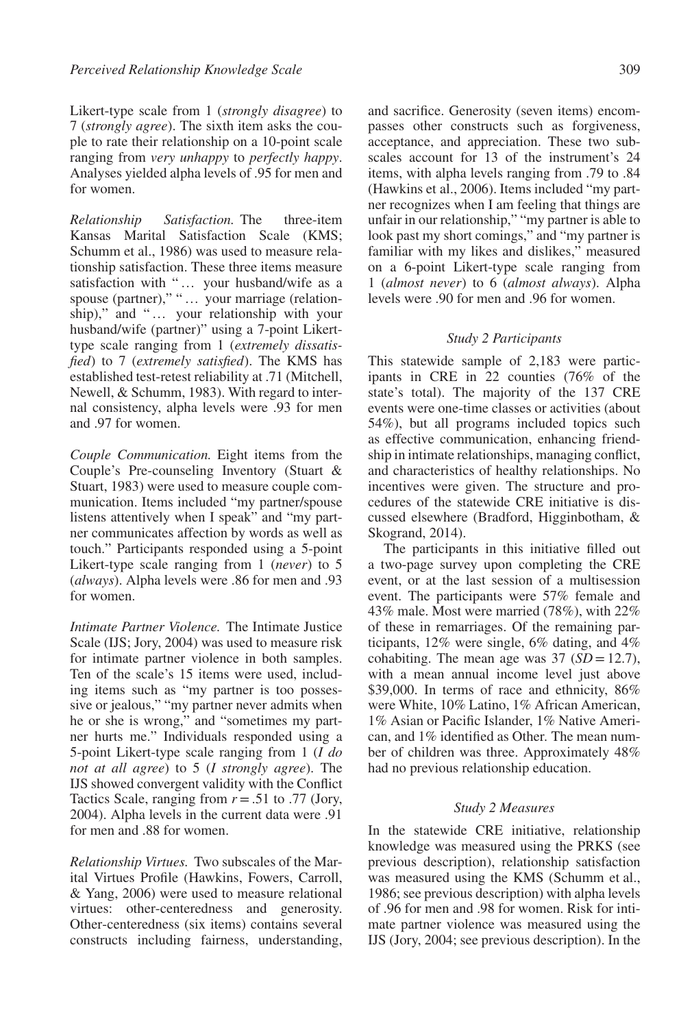Likert-type scale from 1 (*strongly disagree*) to 7 (*strongly agree*). The sixth item asks the couple to rate their relationship on a 10-point scale ranging from *very unhappy* to *perfectly happy*. Analyses yielded alpha levels of .95 for men and for women.

*Relationship Satisfaction.* The three-item Kansas Marital Satisfaction Scale (KMS; Schumm et al., 1986) was used to measure relationship satisfaction. These three items measure satisfaction with "… your husband/wife as a spouse (partner)," "... your marriage (relationship)," and "… your relationship with your husband/wife (partner)" using a 7-point Likerttype scale ranging from 1 (*extremely dissatisfied*) to 7 (*extremely satisfied*). The KMS has established test-retest reliability at .71 (Mitchell, Newell, & Schumm, 1983). With regard to internal consistency, alpha levels were .93 for men and .97 for women.

*Couple Communication.* Eight items from the Couple's Pre-counseling Inventory (Stuart & Stuart, 1983) were used to measure couple communication. Items included "my partner/spouse listens attentively when I speak" and "my partner communicates affection by words as well as touch." Participants responded using a 5-point Likert-type scale ranging from 1 (*never*) to 5 (*always*). Alpha levels were .86 for men and .93 for women.

*Intimate Partner Violence.* The Intimate Justice Scale (IJS; Jory, 2004) was used to measure risk for intimate partner violence in both samples. Ten of the scale's 15 items were used, including items such as "my partner is too possessive or jealous," "my partner never admits when he or she is wrong," and "sometimes my partner hurts me." Individuals responded using a 5-point Likert-type scale ranging from 1 (*I do not at all agree*) to 5 (*I strongly agree*). The IJS showed convergent validity with the Conflict Tactics Scale, ranging from  $r = .51$  to .77 (Jory, 2004). Alpha levels in the current data were .91 for men and .88 for women.

*Relationship Virtues.* Two subscales of the Marital Virtues Profile (Hawkins, Fowers, Carroll, & Yang, 2006) were used to measure relational virtues: other-centeredness and generosity. Other-centeredness (six items) contains several constructs including fairness, understanding, and sacrifice. Generosity (seven items) encompasses other constructs such as forgiveness, acceptance, and appreciation. These two subscales account for 13 of the instrument's 24 items, with alpha levels ranging from .79 to .84 (Hawkins et al., 2006). Items included "my part-

ner recognizes when I am feeling that things are unfair in our relationship," "my partner is able to look past my short comings," and "my partner is familiar with my likes and dislikes," measured on a 6-point Likert-type scale ranging from 1 (*almost never*) to 6 (*almost always*). Alpha levels were .90 for men and .96 for women.

## *Study 2 Participants*

This statewide sample of 2,183 were participants in CRE in 22 counties (76% of the state's total). The majority of the 137 CRE events were one-time classes or activities (about 54%), but all programs included topics such as effective communication, enhancing friendship in intimate relationships, managing conflict, and characteristics of healthy relationships. No incentives were given. The structure and procedures of the statewide CRE initiative is discussed elsewhere (Bradford, Higginbotham, & Skogrand, 2014).

The participants in this initiative filled out a two-page survey upon completing the CRE event, or at the last session of a multisession event. The participants were 57% female and 43% male. Most were married (78%), with 22% of these in remarriages. Of the remaining participants, 12% were single, 6% dating, and 4% cohabiting. The mean age was  $37$  (*SD* = 12.7), with a mean annual income level just above \$39,000. In terms of race and ethnicity,  $86\%$ were White, 10% Latino, 1% African American, 1% Asian or Pacific Islander, 1% Native American, and 1% identified as Other*.* The mean number of children was three. Approximately 48% had no previous relationship education.

#### *Study 2 Measures*

In the statewide CRE initiative, relationship knowledge was measured using the PRKS (see previous description), relationship satisfaction was measured using the KMS (Schumm et al., 1986; see previous description) with alpha levels of .96 for men and .98 for women. Risk for intimate partner violence was measured using the IJS (Jory, 2004; see previous description). In the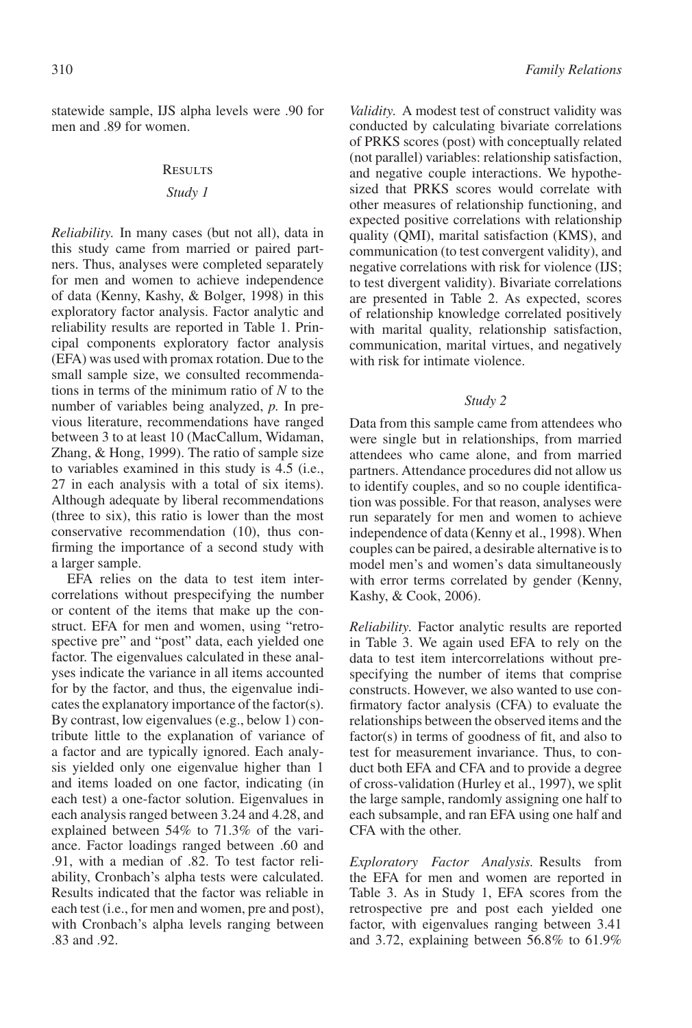statewide sample, IJS alpha levels were .90 for men and .89 for women.

# **RESULTS** *Study 1*

*Reliability.* In many cases (but not all), data in this study came from married or paired partners. Thus, analyses were completed separately for men and women to achieve independence of data (Kenny, Kashy, & Bolger, 1998) in this exploratory factor analysis. Factor analytic and reliability results are reported in Table 1. Principal components exploratory factor analysis (EFA) was used with promax rotation. Due to the small sample size, we consulted recommendations in terms of the minimum ratio of *N* to the number of variables being analyzed, *p.* In previous literature, recommendations have ranged between 3 to at least 10 (MacCallum, Widaman, Zhang, & Hong, 1999). The ratio of sample size to variables examined in this study is 4.5 (i.e., 27 in each analysis with a total of six items). Although adequate by liberal recommendations (three to six), this ratio is lower than the most conservative recommendation (10), thus confirming the importance of a second study with a larger sample.

EFA relies on the data to test item intercorrelations without prespecifying the number or content of the items that make up the construct. EFA for men and women, using "retrospective pre" and "post" data, each yielded one factor. The eigenvalues calculated in these analyses indicate the variance in all items accounted for by the factor, and thus, the eigenvalue indicates the explanatory importance of the factor(s). By contrast, low eigenvalues (e.g., below 1) contribute little to the explanation of variance of a factor and are typically ignored. Each analysis yielded only one eigenvalue higher than 1 and items loaded on one factor, indicating (in each test) a one-factor solution. Eigenvalues in each analysis ranged between 3.24 and 4.28, and explained between 54% to 71.3% of the variance. Factor loadings ranged between .60 and .91, with a median of .82. To test factor reliability, Cronbach's alpha tests were calculated. Results indicated that the factor was reliable in each test (i.e., for men and women, pre and post), with Cronbach's alpha levels ranging between .83 and .92.

*Validity.* A modest test of construct validity was conducted by calculating bivariate correlations of PRKS scores (post) with conceptually related (not parallel) variables: relationship satisfaction, and negative couple interactions. We hypothesized that PRKS scores would correlate with other measures of relationship functioning, and expected positive correlations with relationship quality (QMI), marital satisfaction (KMS), and communication (to test convergent validity), and negative correlations with risk for violence (IJS; to test divergent validity). Bivariate correlations are presented in Table 2. As expected, scores of relationship knowledge correlated positively with marital quality, relationship satisfaction, communication, marital virtues, and negatively with risk for intimate violence.

## *Study 2*

Data from this sample came from attendees who were single but in relationships, from married attendees who came alone, and from married partners. Attendance procedures did not allow us to identify couples, and so no couple identification was possible. For that reason, analyses were run separately for men and women to achieve independence of data (Kenny et al., 1998). When couples can be paired, a desirable alternative is to model men's and women's data simultaneously with error terms correlated by gender (Kenny, Kashy, & Cook, 2006).

*Reliability.* Factor analytic results are reported in Table 3. We again used EFA to rely on the data to test item intercorrelations without prespecifying the number of items that comprise constructs. However, we also wanted to use confirmatory factor analysis (CFA) to evaluate the relationships between the observed items and the factor(s) in terms of goodness of fit, and also to test for measurement invariance. Thus, to conduct both EFA and CFA and to provide a degree of cross-validation (Hurley et al., 1997), we split the large sample, randomly assigning one half to each subsample, and ran EFA using one half and CFA with the other.

*Exploratory Factor Analysis.* Results from the EFA for men and women are reported in Table 3. As in Study 1, EFA scores from the retrospective pre and post each yielded one factor, with eigenvalues ranging between 3.41 and 3.72, explaining between 56.8% to 61.9%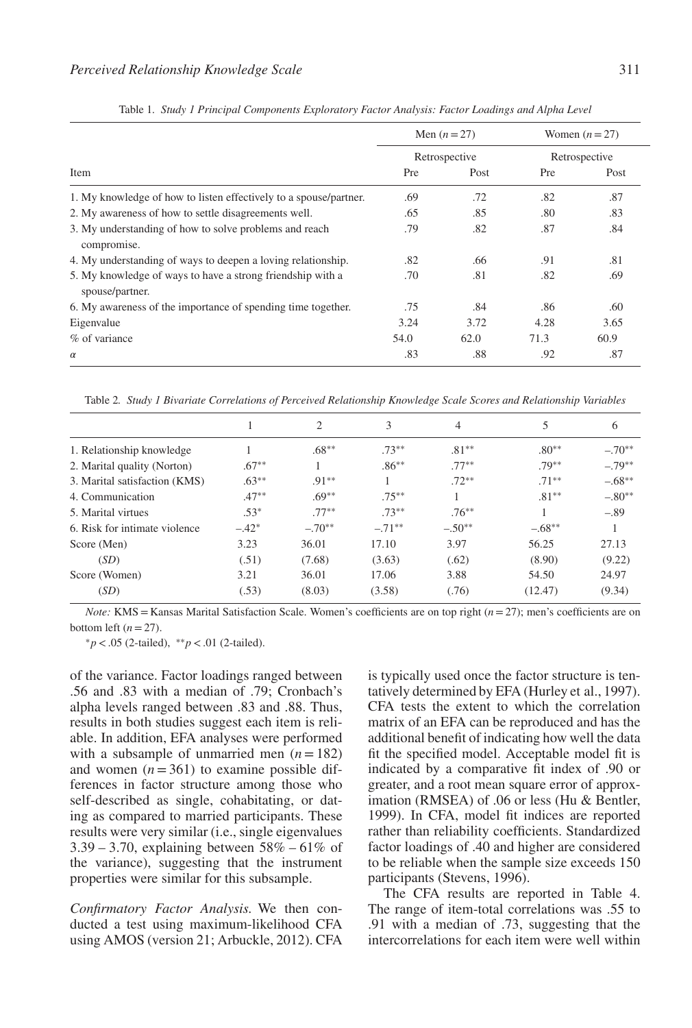|                                                                               | Men $(n = 27)$<br>Retrospective |      | Women $(n=27)$<br>Retrospective |      |
|-------------------------------------------------------------------------------|---------------------------------|------|---------------------------------|------|
|                                                                               |                                 |      |                                 |      |
| Item                                                                          | Pre                             | Post | Pre                             | Post |
| 1. My knowledge of how to listen effectively to a spouse/partner.             | .69                             | .72  | .82                             | .87  |
| 2. My awareness of how to settle disagreements well.                          | .65                             | .85  | .80                             | .83  |
| 3. My understanding of how to solve problems and reach<br>compromise.         | .79                             | .82  | .87                             | .84  |
| 4. My understanding of ways to deepen a loving relationship.                  | .82                             | .66  | .91                             | .81  |
| 5. My knowledge of ways to have a strong friendship with a<br>spouse/partner. | .70                             | .81  | .82                             | .69  |
| 6. My awareness of the importance of spending time together.                  | .75                             | .84  | .86                             | .60  |
| Eigenvalue                                                                    | 3.24                            | 3.72 | 4.28                            | 3.65 |
| % of variance                                                                 | 54.0                            | 62.0 | 71.3                            | 60.9 |
| $\alpha$                                                                      | .83                             | .88  | .92                             | .87  |

Table 1*. Study 1 Principal Components Exploratory Factor Analysis: Factor Loadings and Alpha Level*

Table 2*. Study 1 Bivariate Correlations of Perceived Relationship Knowledge Scale Scores and Relationship Variables*

| $-.70**$ |
|----------|
| $-.79**$ |
| $-.68**$ |
| $-.80**$ |
| $-.89$   |
|          |
| 27.13    |
| (9.22)   |
| 24.97    |
| (9.34)   |
|          |

*Note:* KMS = Kansas Marital Satisfaction Scale. Women's coefficients are on top right  $(n=27)$ ; men's coefficients are on bottom left  $(n=27)$ .

<sup>∗</sup>*p<*.05 (2-tailed), ∗∗*p<*.01 (2-tailed).

of the variance. Factor loadings ranged between .56 and .83 with a median of .79; Cronbach's alpha levels ranged between .83 and .88. Thus, results in both studies suggest each item is reliable. In addition, EFA analyses were performed with a subsample of unmarried men  $(n=182)$ and women  $(n=361)$  to examine possible differences in factor structure among those who self-described as single, cohabitating, or dating as compared to married participants. These results were very similar (i.e., single eigenvalues 3.39 – 3.70, explaining between  $58\% - 61\%$  of the variance), suggesting that the instrument properties were similar for this subsample.

*Confirmatory Factor Analysis.* We then conducted a test using maximum-likelihood CFA using AMOS (version 21; Arbuckle, 2012). CFA

is typically used once the factor structure is tentatively determined by EFA (Hurley et al., 1997). CFA tests the extent to which the correlation matrix of an EFA can be reproduced and has the additional benefit of indicating how well the data fit the specified model. Acceptable model fit is indicated by a comparative fit index of .90 or greater, and a root mean square error of approximation (RMSEA) of .06 or less (Hu & Bentler, 1999). In CFA, model fit indices are reported rather than reliability coefficients. Standardized factor loadings of .40 and higher are considered to be reliable when the sample size exceeds 150 participants (Stevens, 1996).

The CFA results are reported in Table 4. The range of item-total correlations was .55 to .91 with a median of .73, suggesting that the intercorrelations for each item were well within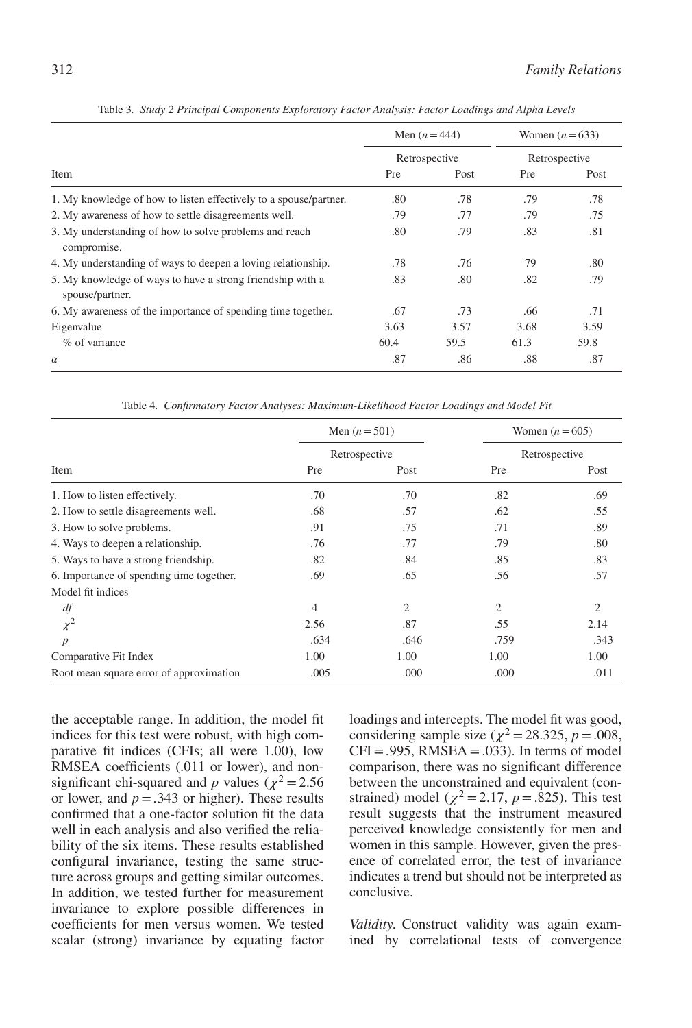|                                                                               | Men $(n = 444)$<br>Retrospective |      | Women $(n=633)$<br>Retrospective |      |
|-------------------------------------------------------------------------------|----------------------------------|------|----------------------------------|------|
|                                                                               |                                  |      |                                  |      |
| <b>Item</b>                                                                   | Pre                              | Post | Pre                              | Post |
| 1. My knowledge of how to listen effectively to a spouse/partner.             | .80                              | .78  | .79                              | .78  |
| 2. My awareness of how to settle disagreements well.                          | .79                              | .77  | .79                              | .75  |
| 3. My understanding of how to solve problems and reach<br>compromise.         | .80                              | .79  | .83                              | .81  |
| 4. My understanding of ways to deepen a loving relationship.                  | .78                              | .76  | 79                               | .80  |
| 5. My knowledge of ways to have a strong friendship with a<br>spouse/partner. | .83                              | .80  | .82                              | .79  |
| 6. My awareness of the importance of spending time together.                  | .67                              | .73  | .66                              | .71  |
| Eigenvalue                                                                    | 3.63                             | 3.57 | 3.68                             | 3.59 |
| % of variance                                                                 | 60.4                             | 59.5 | 61.3                             | 59.8 |
| $\alpha$                                                                      | .87                              | .86  | .88                              | .87  |

Table 3*. Study 2 Principal Components Exploratory Factor Analysis: Factor Loadings and Alpha Levels*

Table 4*. Confirmatory Factor Analyses: Maximum-Likelihood Factor Loadings and Model Fit*

|                                          | Men $(n = 501)$<br>Retrospective |                | Women $(n = 605)$ |               |
|------------------------------------------|----------------------------------|----------------|-------------------|---------------|
| Item                                     |                                  |                |                   | Retrospective |
|                                          | Pre                              | Post           | Pre               | Post          |
| 1. How to listen effectively.            | .70                              | .70            | .82               | .69           |
| 2. How to settle disagreements well.     | .68                              | .57            | .62               | .55           |
| 3. How to solve problems.                | .91                              | .75            | .71               | .89           |
| 4. Ways to deepen a relationship.        | .76                              | .77            | .79               | .80           |
| 5. Ways to have a strong friendship.     | .82                              | .84            | .85               | .83           |
| 6. Importance of spending time together. | .69                              | .65            | .56               | .57           |
| Model fit indices                        |                                  |                |                   |               |
| df                                       | 4                                | $\overline{2}$ | $\overline{c}$    | 2             |
| $\chi^2$                                 | 2.56                             | .87            | .55               | 2.14          |
| $\boldsymbol{p}$                         | .634                             | .646           | .759              | .343          |
| Comparative Fit Index                    | 1.00                             | 1.00           | 1.00              | 1.00          |
| Root mean square error of approximation  | .005                             | .000           | .000              | .011          |

the acceptable range. In addition, the model fit indices for this test were robust, with high comparative fit indices (CFIs; all were 1.00), low RMSEA coefficients (.011 or lower), and nonsignificant chi-squared and *p* values ( $\chi^2$  = 2.56 or lower, and  $p = .343$  or higher). These results confirmed that a one-factor solution fit the data well in each analysis and also verified the reliability of the six items. These results established configural invariance, testing the same structure across groups and getting similar outcomes. In addition, we tested further for measurement invariance to explore possible differences in coefficients for men versus women. We tested scalar (strong) invariance by equating factor

loadings and intercepts. The model fit was good, considering sample size ( $\chi^2$  = 28.325, *p* = .008,  $CFI = .995$ , RMSEA =  $.033$ ). In terms of model comparison, there was no significant difference between the unconstrained and equivalent (constrained) model ( $\chi^2$  = 2.17, *p* = .825). This test result suggests that the instrument measured perceived knowledge consistently for men and women in this sample. However, given the presence of correlated error, the test of invariance indicates a trend but should not be interpreted as conclusive.

*Validity.* Construct validity was again examined by correlational tests of convergence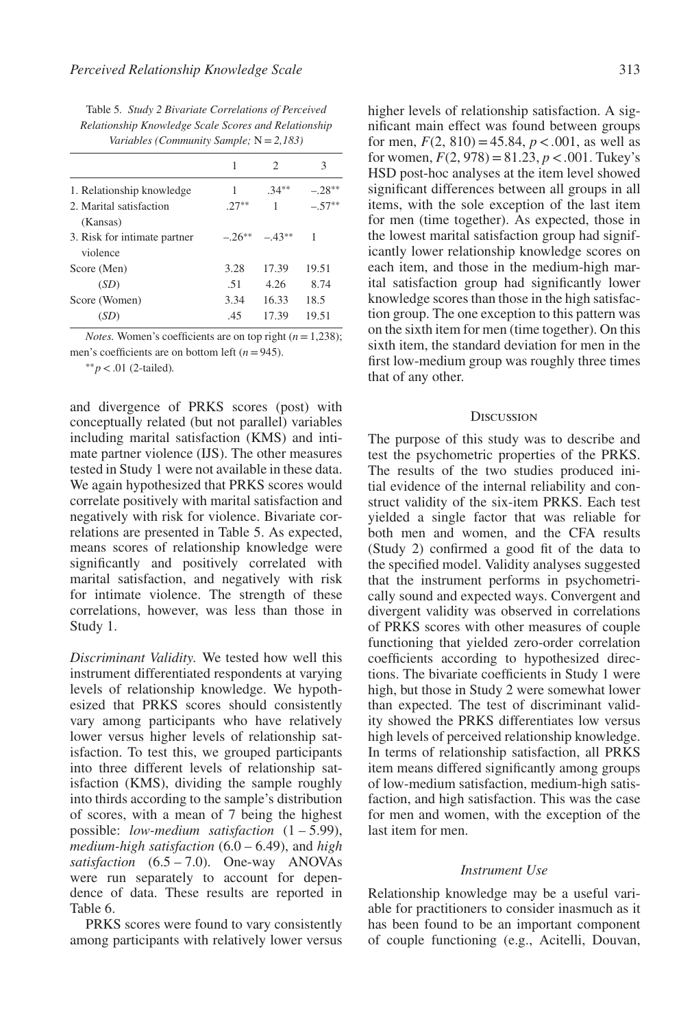Table 5*. Study 2 Bivariate Correlations of Perceived Relationship Knowledge Scale Scores and Relationship Variables (Community Sample;* N =*2,183)*

|                              |          | 2        | 3        |
|------------------------------|----------|----------|----------|
| 1. Relationship knowledge    |          | $.34***$ | $-.28**$ |
| 2. Marital satisfaction      | $27**$   | 1        | $-.57**$ |
| (Kansas)                     |          |          |          |
| 3. Risk for intimate partner | $-.26**$ | $-43**$  |          |
| violence                     |          |          |          |
| Score (Men)                  | 3.28     | 17.39    | 19.51    |
| (SD)                         | .51      | 4.26     | 8.74     |
| Score (Women)                | 3.34     | 16.33    | 18.5     |
|                              | .45      | 17.39    | 19.51    |

*Notes.* Women's coefficients are on top right (*n*=1,238); men's coefficients are on bottom left (*n*=945).

∗∗*p<*.01 (2-tailed)*.*

and divergence of PRKS scores (post) with conceptually related (but not parallel) variables including marital satisfaction (KMS) and intimate partner violence (IJS). The other measures tested in Study 1 were not available in these data. We again hypothesized that PRKS scores would correlate positively with marital satisfaction and negatively with risk for violence. Bivariate correlations are presented in Table 5. As expected, means scores of relationship knowledge were significantly and positively correlated with marital satisfaction, and negatively with risk for intimate violence. The strength of these correlations, however, was less than those in Study 1.

*Discriminant Validity.* We tested how well this instrument differentiated respondents at varying levels of relationship knowledge. We hypothesized that PRKS scores should consistently vary among participants who have relatively lower versus higher levels of relationship satisfaction. To test this, we grouped participants into three different levels of relationship satisfaction (KMS), dividing the sample roughly into thirds according to the sample's distribution of scores, with a mean of 7 being the highest possible: *low-medium satisfaction*  $(1 – 5.99)$ , *medium-high satisfaction* (6.0 – 6.49), and *high satisfaction* (6.5 – 7.0). One-way ANOVAs were run separately to account for dependence of data. These results are reported in Table 6.

PRKS scores were found to vary consistently among participants with relatively lower versus higher levels of relationship satisfaction. A significant main effect was found between groups for men,  $F(2, 810) = 45.84$ ,  $p < .001$ , as well as for women,  $F(2, 978) = 81.23$ ,  $p < .001$ . Tukey's HSD post-hoc analyses at the item level showed significant differences between all groups in all items, with the sole exception of the last item for men (time together). As expected, those in the lowest marital satisfaction group had significantly lower relationship knowledge scores on each item, and those in the medium-high marital satisfaction group had significantly lower knowledge scores than those in the high satisfaction group. The one exception to this pattern was on the sixth item for men (time together). On this sixth item, the standard deviation for men in the first low-medium group was roughly three times that of any other.

#### **DISCUSSION**

The purpose of this study was to describe and test the psychometric properties of the PRKS. The results of the two studies produced initial evidence of the internal reliability and construct validity of the six-item PRKS. Each test yielded a single factor that was reliable for both men and women, and the CFA results (Study 2) confirmed a good fit of the data to the specified model. Validity analyses suggested that the instrument performs in psychometrically sound and expected ways. Convergent and divergent validity was observed in correlations of PRKS scores with other measures of couple functioning that yielded zero-order correlation coefficients according to hypothesized directions. The bivariate coefficients in Study 1 were high, but those in Study 2 were somewhat lower than expected. The test of discriminant validity showed the PRKS differentiates low versus high levels of perceived relationship knowledge. In terms of relationship satisfaction, all PRKS item means differed significantly among groups of low-medium satisfaction, medium-high satisfaction, and high satisfaction. This was the case for men and women, with the exception of the last item for men.

#### *Instrument Use*

Relationship knowledge may be a useful variable for practitioners to consider inasmuch as it has been found to be an important component of couple functioning (e.g., Acitelli, Douvan,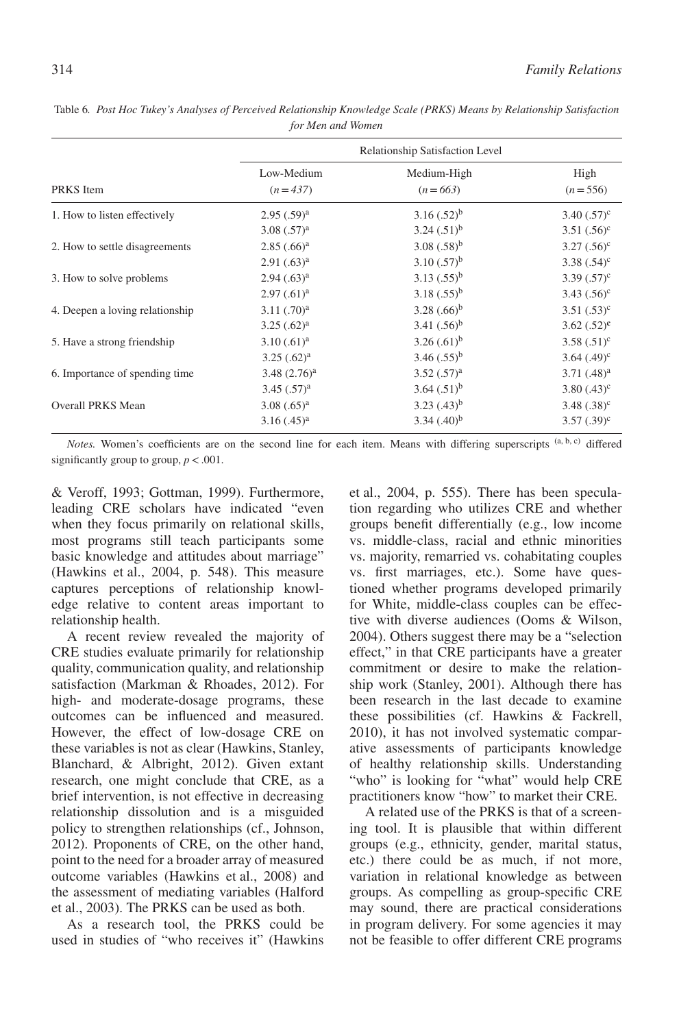|                                 | Relationship Satisfaction Level |                            |                   |
|---------------------------------|---------------------------------|----------------------------|-------------------|
| PRKS Item                       | Low-Medium<br>$(n=437)$         | Medium-High<br>$(n = 663)$ | High<br>$(n=556)$ |
| 1. How to listen effectively    | $2.95(.59)^{a}$                 | $3.16(.52)^{b}$            | $3.40$ $(.57)^c$  |
|                                 | $3.08$ $(.57)^a$                | $3.24(.51)^{b}$            | $3.51(.56)^c$     |
| 2. How to settle disagreements  | $2.85$ $(.66)^a$                | $(3.08)(.58)^{b}$          | $3.27(.56)^c$     |
|                                 | $2.91(.63)^{a}$                 | $(3.10)(.57)^{b}$          | $3.38(.54)^c$     |
| 3. How to solve problems        | $2.94$ $(.63)^a$                | $3.13(.55)^{b}$            | $3.39(.57)^c$     |
|                                 | $2.97(0.61)^a$                  | $3.18(.55)^{b}$            | $3.43(.56)^c$     |
| 4. Deepen a loving relationship | $3.11$ $(.70)^a$                | $3.28(.66)^{b}$            | $3.51(.53)^c$     |
|                                 | $3.25$ $(.62)^a$                | 3.41 $(.56)^b$             | $3.62$ $(.52)^c$  |
| 5. Have a strong friendship     | $3.10$ $(.61)^a$                | $3.26$ $(.61)^{b}$         | $3.58(.51)^c$     |
|                                 | $3.25$ $(.62)^a$                | $3.46(.55)^{b}$            | $3.64$ $(.49)^c$  |
| 6. Importance of spending time  | $3.48(2.76)^a$                  | $3.52$ $(.57)^a$           | $3.71$ $(.48)^a$  |
|                                 | $3.45$ $(.57)^a$                | $3.64(.51)^{b}$            | $3.80$ $(.43)^c$  |
| <b>Overall PRKS Mean</b>        | $3.08$ $(.65)^a$                | $(3.23)(.43)^{b}$          | $3.48(.38)^c$     |
|                                 | $3.16$ $(.45)^{a}$              | $3.34$ $(.40)^{b}$         | $3.57$ $(.39)^c$  |

Table 6*. Post Hoc Tukey's Analyses of Perceived Relationship Knowledge Scale (PRKS) Means by Relationship Satisfaction for Men and Women*

*Notes.* Women's coefficients are on the second line for each item. Means with differing superscripts (a, b, c) differed significantly group to group, *p<*.001.

& Veroff, 1993; Gottman, 1999). Furthermore, leading CRE scholars have indicated "even when they focus primarily on relational skills, most programs still teach participants some basic knowledge and attitudes about marriage" (Hawkins et al., 2004, p. 548). This measure captures perceptions of relationship knowledge relative to content areas important to relationship health.

A recent review revealed the majority of CRE studies evaluate primarily for relationship quality, communication quality, and relationship satisfaction (Markman & Rhoades, 2012). For high- and moderate-dosage programs, these outcomes can be influenced and measured. However, the effect of low-dosage CRE on these variables is not as clear (Hawkins, Stanley, Blanchard, & Albright, 2012). Given extant research, one might conclude that CRE, as a brief intervention, is not effective in decreasing relationship dissolution and is a misguided policy to strengthen relationships (cf., Johnson, 2012). Proponents of CRE, on the other hand, point to the need for a broader array of measured outcome variables (Hawkins et al., 2008) and the assessment of mediating variables (Halford et al., 2003). The PRKS can be used as both.

As a research tool, the PRKS could be used in studies of "who receives it" (Hawkins et al., 2004, p. 555). There has been speculation regarding who utilizes CRE and whether groups benefit differentially (e.g., low income vs. middle-class, racial and ethnic minorities vs. majority, remarried vs. cohabitating couples vs. first marriages, etc.). Some have questioned whether programs developed primarily for White, middle-class couples can be effective with diverse audiences (Ooms & Wilson, 2004). Others suggest there may be a "selection effect," in that CRE participants have a greater commitment or desire to make the relationship work (Stanley, 2001). Although there has been research in the last decade to examine these possibilities (cf. Hawkins & Fackrell, 2010), it has not involved systematic comparative assessments of participants knowledge of healthy relationship skills. Understanding "who" is looking for "what" would help CRE practitioners know "how" to market their CRE.

A related use of the PRKS is that of a screening tool. It is plausible that within different groups (e.g., ethnicity, gender, marital status, etc.) there could be as much, if not more, variation in relational knowledge as between groups. As compelling as group-specific CRE may sound, there are practical considerations in program delivery. For some agencies it may not be feasible to offer different CRE programs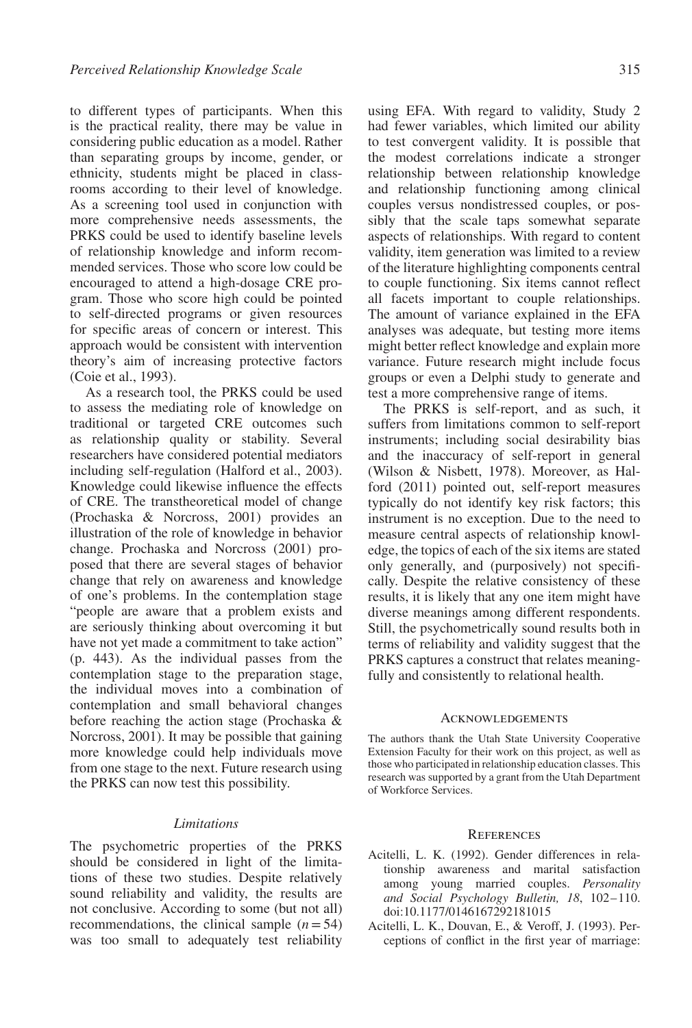to different types of participants. When this is the practical reality, there may be value in considering public education as a model. Rather than separating groups by income, gender, or ethnicity, students might be placed in classrooms according to their level of knowledge. As a screening tool used in conjunction with more comprehensive needs assessments, the PRKS could be used to identify baseline levels of relationship knowledge and inform recommended services. Those who score low could be encouraged to attend a high-dosage CRE program. Those who score high could be pointed to self-directed programs or given resources for specific areas of concern or interest. This approach would be consistent with intervention theory's aim of increasing protective factors (Coie et al., 1993).

As a research tool, the PRKS could be used to assess the mediating role of knowledge on traditional or targeted CRE outcomes such as relationship quality or stability. Several researchers have considered potential mediators including self-regulation (Halford et al., 2003). Knowledge could likewise influence the effects of CRE. The transtheoretical model of change (Prochaska & Norcross, 2001) provides an illustration of the role of knowledge in behavior change. Prochaska and Norcross (2001) proposed that there are several stages of behavior change that rely on awareness and knowledge of one's problems. In the contemplation stage "people are aware that a problem exists and are seriously thinking about overcoming it but have not yet made a commitment to take action" (p. 443). As the individual passes from the contemplation stage to the preparation stage, the individual moves into a combination of contemplation and small behavioral changes before reaching the action stage (Prochaska & Norcross, 2001). It may be possible that gaining more knowledge could help individuals move from one stage to the next. Future research using the PRKS can now test this possibility.

#### *Limitations*

The psychometric properties of the PRKS should be considered in light of the limitations of these two studies. Despite relatively sound reliability and validity, the results are not conclusive. According to some (but not all) recommendations, the clinical sample  $(n=54)$ was too small to adequately test reliability

using EFA. With regard to validity, Study 2 had fewer variables, which limited our ability to test convergent validity. It is possible that the modest correlations indicate a stronger relationship between relationship knowledge and relationship functioning among clinical couples versus nondistressed couples, or possibly that the scale taps somewhat separate aspects of relationships. With regard to content validity, item generation was limited to a review of the literature highlighting components central to couple functioning. Six items cannot reflect all facets important to couple relationships. The amount of variance explained in the EFA analyses was adequate, but testing more items might better reflect knowledge and explain more variance. Future research might include focus groups or even a Delphi study to generate and test a more comprehensive range of items.

The PRKS is self-report, and as such, it suffers from limitations common to self-report instruments; including social desirability bias and the inaccuracy of self-report in general (Wilson & Nisbett, 1978). Moreover, as Halford (2011) pointed out, self-report measures typically do not identify key risk factors; this instrument is no exception. Due to the need to measure central aspects of relationship knowledge, the topics of each of the six items are stated only generally, and (purposively) not specifically. Despite the relative consistency of these results, it is likely that any one item might have diverse meanings among different respondents. Still, the psychometrically sound results both in terms of reliability and validity suggest that the PRKS captures a construct that relates meaningfully and consistently to relational health.

#### **ACKNOWLEDGEMENTS**

The authors thank the Utah State University Cooperative Extension Faculty for their work on this project, as well as those who participated in relationship education classes. This research was supported by a grant from the Utah Department of Workforce Services.

## **REFERENCES**

- Acitelli, L. K. (1992). Gender differences in relationship awareness and marital satisfaction among young married couples. *Personality and Social Psychology Bulletin, 18*, 102–110. doi:10.1177/0146167292181015
- Acitelli, L. K., Douvan, E., & Veroff, J. (1993). Perceptions of conflict in the first year of marriage: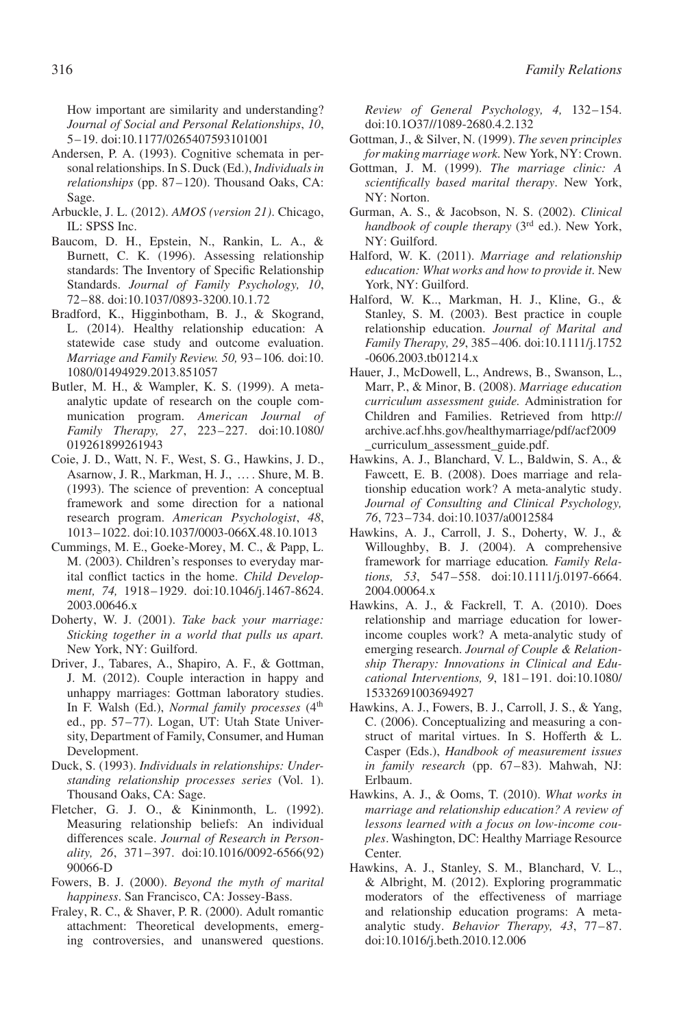How important are similarity and understanding? *Journal of Social and Personal Relationships*, *10*, 5–19. doi:10.1177/0265407593101001

- Andersen, P. A. (1993). Cognitive schemata in personal relationships. In S. Duck (Ed.), *Individuals in relationships* (pp. 87–120). Thousand Oaks, CA: Sage.
- Arbuckle, J. L. (2012). *AMOS (version 21)*. Chicago, IL: SPSS Inc.
- Baucom, D. H., Epstein, N., Rankin, L. A., & Burnett, C. K. (1996). Assessing relationship standards: The Inventory of Specific Relationship Standards. *Journal of Family Psychology, 10*, 72–88. doi:10.1037/0893-3200.10.1.72
- Bradford, K., Higginbotham, B. J., & Skogrand, L. (2014). Healthy relationship education: A statewide case study and outcome evaluation. *Marriage and Family Review. 50,* 93–106*.* doi:10. 1080/01494929.2013.851057
- Butler, M. H., & Wampler, K. S. (1999). A metaanalytic update of research on the couple communication program. *American Journal of Family Therapy, 27*, 223–227. doi:10.1080/ 019261899261943
- Coie, J. D., Watt, N. F., West, S. G., Hawkins, J. D., Asarnow, J. R., Markman, H. J., … . Shure, M. B. (1993). The science of prevention: A conceptual framework and some direction for a national research program. *American Psychologist*, *48*, 1013–1022. doi:10.1037/0003-066X.48.10.1013
- Cummings, M. E., Goeke-Morey, M. C., & Papp, L. M. (2003). Children's responses to everyday marital conflict tactics in the home. *Child Development, 74,* 1918–1929. doi:10.1046/j.1467-8624. 2003.00646.x
- Doherty, W. J. (2001). *Take back your marriage: Sticking together in a world that pulls us apart.* New York, NY: Guilford.
- Driver, J., Tabares, A., Shapiro, A. F., & Gottman, J. M. (2012). Couple interaction in happy and unhappy marriages: Gottman laboratory studies. In F. Walsh (Ed.), *Normal family processes* (4<sup>th</sup> ed., pp. 57–77). Logan, UT: Utah State University, Department of Family, Consumer, and Human Development.
- Duck, S. (1993). *Individuals in relationships: Understanding relationship processes series* (Vol. 1). Thousand Oaks, CA: Sage.
- Fletcher, G. J. O., & Kininmonth, L. (1992). Measuring relationship beliefs: An individual differences scale. *Journal of Research in Personality, 26*, 371–397. doi:10.1016/0092-6566(92) 90066-D
- Fowers, B. J. (2000). *Beyond the myth of marital happiness*. San Francisco, CA: Jossey-Bass.
- Fraley, R. C., & Shaver, P. R. (2000). Adult romantic attachment: Theoretical developments, emerging controversies, and unanswered questions.

*Review of General Psychology, 4,* 132–154. doi:10.1O37//1089-2680.4.2.132

- Gottman, J., & Silver, N. (1999). *The seven principles for making marriage work.* New York, NY: Crown.
- Gottman, J. M. (1999). *The marriage clinic: A scientifically based marital therapy*. New York, NY: Norton.
- Gurman, A. S., & Jacobson, N. S. (2002). *Clinical handbook of couple therapy* (3rd ed.). New York, NY: Guilford.
- Halford, W. K. (2011). *Marriage and relationship education: What works and how to provide it.* New York, NY: Guilford.
- Halford, W. K.., Markman, H. J., Kline, G., & Stanley, S. M. (2003). Best practice in couple relationship education. *Journal of Marital and Family Therapy, 29*, 385–406. doi:10.1111/j.1752 -0606.2003.tb01214.x
- Hauer, J., McDowell, L., Andrews, B., Swanson, L., Marr, P., & Minor, B. (2008). *Marriage education curriculum assessment guide.* Administration for Children and Families. Retrieved from http:// archive.acf.hhs.gov/healthymarriage/pdf/acf2009 \_curriculum\_assessment\_guide.pdf.
- Hawkins, A. J., Blanchard, V. L., Baldwin, S. A., & Fawcett, E. B. (2008). Does marriage and relationship education work? A meta-analytic study. *Journal of Consulting and Clinical Psychology, 76*, 723–734. doi:10.1037/a0012584
- Hawkins, A. J., Carroll, J. S., Doherty, W. J., & Willoughby, B. J. (2004). A comprehensive framework for marriage education*. Family Relations, 53*, 547–558. doi:10.1111/j.0197-6664. 2004.00064.x
- Hawkins, A. J., & Fackrell, T. A. (2010). Does relationship and marriage education for lowerincome couples work? A meta-analytic study of emerging research. *Journal of Couple & Relationship Therapy: Innovations in Clinical and Educational Interventions, 9*, 181–191. doi:10.1080/ 15332691003694927
- Hawkins, A. J., Fowers, B. J., Carroll, J. S., & Yang, C. (2006). Conceptualizing and measuring a construct of marital virtues. In S. Hofferth & L. Casper (Eds.), *Handbook of measurement issues in family research* (pp. 67–83). Mahwah, NJ: Erlbaum.
- Hawkins, A. J., & Ooms, T. (2010). *What works in marriage and relationship education? A review of lessons learned with a focus on low-income couples*. Washington, DC: Healthy Marriage Resource Center.
- Hawkins, A. J., Stanley, S. M., Blanchard, V. L., & Albright, M. (2012). Exploring programmatic moderators of the effectiveness of marriage and relationship education programs: A metaanalytic study. *Behavior Therapy, 43*, 77–87. doi:10.1016/j.beth.2010.12.006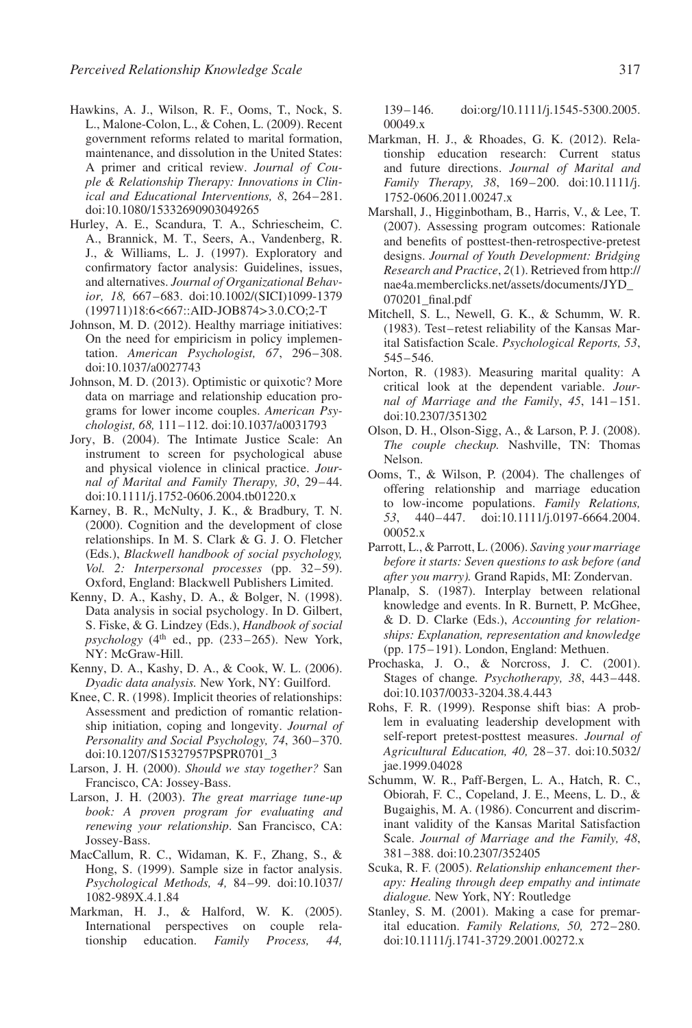- Hawkins, A. J., Wilson, R. F., Ooms, T., Nock, S. L., Malone-Colon, L., & Cohen, L. (2009). Recent government reforms related to marital formation, maintenance, and dissolution in the United States: A primer and critical review. *Journal of Couple & Relationship Therapy: Innovations in Clinical and Educational Interventions, 8*, 264–281. doi:10.1080/15332690903049265
- Hurley, A. E., Scandura, T. A., Schriescheim, C. A., Brannick, M. T., Seers, A., Vandenberg, R. J., & Williams, L. J. (1997). Exploratory and confirmatory factor analysis: Guidelines, issues, and alternatives. *Journal of Organizational Behavior, 18,* 667–683. doi:10.1002/(SICI)1099-1379 (199711)18:6*<*667::AID-JOB874*>*3.0.CO;2-T
- Johnson, M. D. (2012). Healthy marriage initiatives: On the need for empiricism in policy implementation. *American Psychologist, 67*, 296–308. doi:10.1037/a0027743
- Johnson, M. D. (2013). Optimistic or quixotic? More data on marriage and relationship education programs for lower income couples. *American Psychologist, 68,* 111–112. doi:10.1037/a0031793
- Jory, B. (2004). The Intimate Justice Scale: An instrument to screen for psychological abuse and physical violence in clinical practice. *Journal of Marital and Family Therapy, 30*, 29–44. doi:10.1111/j.1752-0606.2004.tb01220.x
- Karney, B. R., McNulty, J. K., & Bradbury, T. N. (2000). Cognition and the development of close relationships. In M. S. Clark & G. J. O. Fletcher (Eds.), *Blackwell handbook of social psychology, Vol. 2: Interpersonal processes* (pp. 32–59). Oxford, England: Blackwell Publishers Limited.
- Kenny, D. A., Kashy, D. A., & Bolger, N. (1998). Data analysis in social psychology. In D. Gilbert, S. Fiske, & G. Lindzey (Eds.), *Handbook of social*  $psychology$  (4<sup>th</sup> ed., pp. (233–265). New York, NY: McGraw-Hill.
- Kenny, D. A., Kashy, D. A., & Cook, W. L. (2006). *Dyadic data analysis.* New York, NY: Guilford.
- Knee, C. R. (1998). Implicit theories of relationships: Assessment and prediction of romantic relationship initiation, coping and longevity. *Journal of Personality and Social Psychology, 74*, 360–370. doi:10.1207/S15327957PSPR0701\_3
- Larson, J. H. (2000). *Should we stay together?* San Francisco, CA: Jossey-Bass.
- Larson, J. H. (2003). *The great marriage tune-up book: A proven program for evaluating and renewing your relationship*. San Francisco, CA: Jossey-Bass.
- MacCallum, R. C., Widaman, K. F., Zhang, S., & Hong, S. (1999). Sample size in factor analysis. *Psychological Methods, 4,* 84–99. doi:10.1037/ 1082-989X.4.1.84
- Markman, H. J., & Halford, W. K. (2005). International perspectives on couple relationship education. *Family Process, 44,*

139–146. doi:org/10.1111/j.1545-5300.2005. 00049.x

- Markman, H. J., & Rhoades, G. K. (2012). Relationship education research: Current status and future directions. *Journal of Marital and Family Therapy, 38*, 169–200. doi:10.1111/j. 1752-0606.2011.00247.x
- Marshall, J., Higginbotham, B., Harris, V., & Lee, T. (2007). Assessing program outcomes: Rationale and benefits of posttest-then-retrospective-pretest designs. *Journal of Youth Development: Bridging Research and Practice*, *2*(1). Retrieved from http:// nae4a.memberclicks.net/assets/documents/JYD\_ 070201\_final.pdf
- Mitchell, S. L., Newell, G. K., & Schumm, W. R. (1983). Test– retest reliability of the Kansas Marital Satisfaction Scale. *Psychological Reports, 53*, 545–546.
- Norton, R. (1983). Measuring marital quality: A critical look at the dependent variable. *Journal of Marriage and the Family*, *45*, 141–151. doi:10.2307/351302
- Olson, D. H., Olson-Sigg, A., & Larson, P. J. (2008). *The couple checkup.* Nashville, TN: Thomas Nelson.
- Ooms, T., & Wilson, P. (2004). The challenges of offering relationship and marriage education to low-income populations. *Family Relations, 53*, 440–447. doi:10.1111/j.0197-6664.2004. 00052.x
- Parrott, L., & Parrott, L. (2006). *Saving your marriage before it starts: Seven questions to ask before (and after you marry).* Grand Rapids, MI: Zondervan.
- Planalp, S. (1987). Interplay between relational knowledge and events. In R. Burnett, P. McGhee, & D. D. Clarke (Eds.), *Accounting for relationships: Explanation, representation and knowledge* (pp. 175–191). London, England: Methuen.
- Prochaska, J. O., & Norcross, J. C. (2001). Stages of change*. Psychotherapy, 38*, 443–448. doi:10.1037/0033-3204.38.4.443
- Rohs, F. R. (1999). Response shift bias: A problem in evaluating leadership development with self-report pretest-posttest measures. *Journal of Agricultural Education, 40,* 28–37. doi:10.5032/ jae.1999.04028
- Schumm, W. R., Paff-Bergen, L. A., Hatch, R. C., Obiorah, F. C., Copeland, J. E., Meens, L. D., & Bugaighis, M. A. (1986). Concurrent and discriminant validity of the Kansas Marital Satisfaction Scale. *Journal of Marriage and the Family, 48*, 381–388. doi:10.2307/352405
- Scuka, R. F. (2005). *Relationship enhancement therapy: Healing through deep empathy and intimate dialogue.* New York, NY: Routledge
- Stanley, S. M. (2001). Making a case for premarital education. *Family Relations, 50,* 272–280. doi:10.1111/j.1741-3729.2001.00272.x